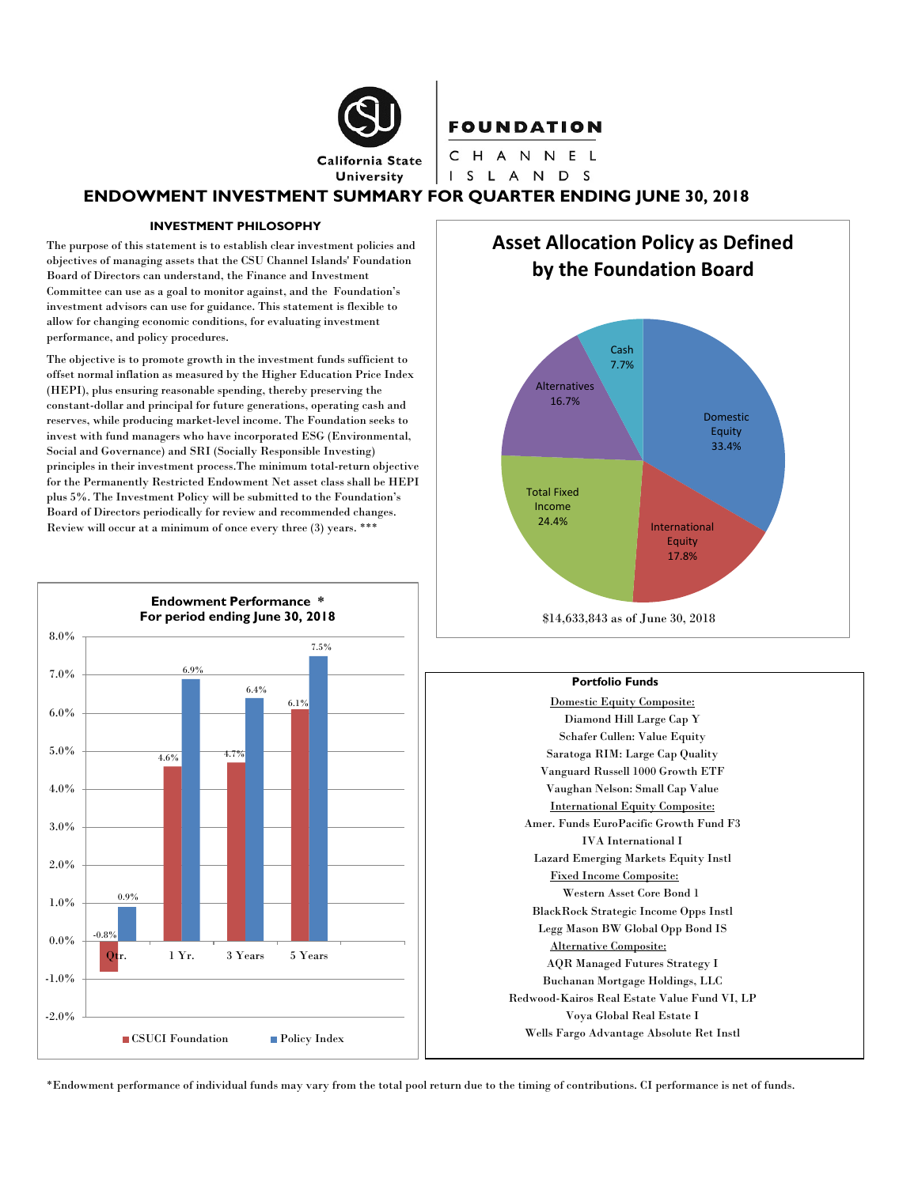

### **FOUNDATION**

CHANNEL I S L A N D S

# **ENDOWMENT INVESTMENT SUMMARY FOR QUARTER ENDING JUNE 30, 2018**

### **INVESTMENT PHILOSOPHY**

The purpose of this statement is to establish clear investment policies and objectives of managing assets that the CSU Channel Islands' Foundation Board of Directors can understand, the Finance and Investment Committee can use as a goal to monitor against, and the Foundation's investment advisors can use for guidance. This statement is flexible to allow for changing economic conditions, for evaluating investment performance, and policy procedures.

The objective is to promote growth in the investment funds sufficient to offset normal inflation as measured by the Higher Education Price Index (HEPI), plus ensuring reasonable spending, thereby preserving the constant-dollar and principal for future generations, operating cash and reserves, while producing market-level income. The Foundation seeks to invest with fund managers who have incorporated ESG (Environmental, Social and Governance) and SRI (Socially Responsible Investing) principles in their investment process.The minimum total-return objective for the Permanently Restricted Endowment Net asset class shall be HEPI plus 5%. The Investment Policy will be submitted to the Foundation's Board of Directors periodically for review and recommended changes. Review will occur at a minimum of once every three (3) years. \*\*\*



**Asset Allocation Policy as Defined by the Foundation Board**



#### **Portfolio Funds**

Domestic Equity Composite: Diamond Hill Large Cap Y Schafer Cullen: Value Equity Saratoga RIM: Large Cap Quality Vanguard Russell 1000 Growth ETF Vaughan Nelson: Small Cap Value International Equity Composite: Amer. Funds EuroPacific Growth Fund F3 IVA International I Lazard Emerging Markets Equity Instl Fixed Income Composite: Western Asset Core Bond 1 BlackRock Strategic Income Opps Instl Legg Mason BW Global Opp Bond IS Alternative Composite: AQR Managed Futures Strategy I Buchanan Mortgage Holdings, LLC Redwood-Kairos Real Estate Value Fund VI, LP Voya Global Real Estate I Wells Fargo Advantage Absolute Ret Instl

\*Endowment performance of individual funds may vary from the total pool return due to the timing of contributions. CI performance is net of funds.